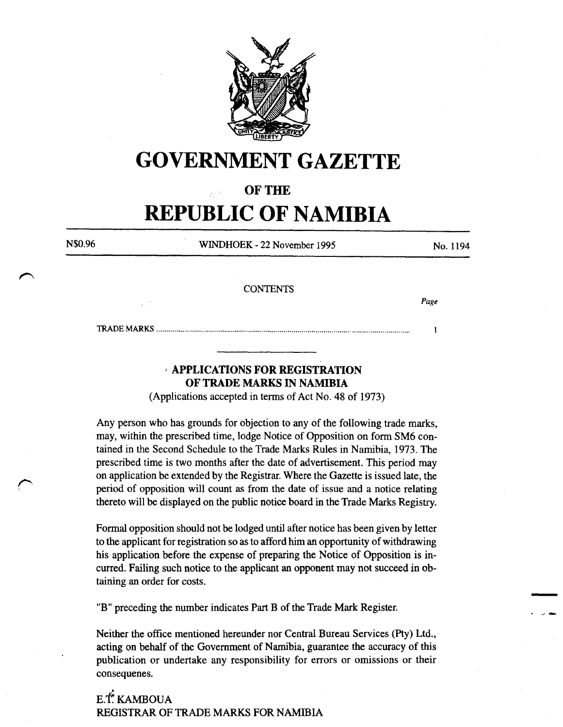

# **GOVERNMENT GAZETTE**

## OF THE

# **REPUBLIC OF NAMIBIA**

| N\$0.96              | WINDHOEK - 22 November 1995 | No. 1194 |
|----------------------|-----------------------------|----------|
|                      | <b>CONTENTS</b>             |          |
| $\ddot{\phantom{0}}$ |                             | Page     |
|                      |                             |          |
|                      | $\overline{\phantom{a}}$    |          |

# *,* APPLICATIONS FOR REGISTRATION OF TRADE MARKS IN NAMIBIA

(Applications accepted in terms of Act No. 48 of 1973)

Any person who has grounds for objection to any of the following trade marks, may, within the prescribed time, lodge Notice of Opposition on form SM6 contained in the Second Schedule to the Trade Marks Rules in Namibia, 1973. The prescribed time is two months after the date of advertisement. This period may on application be extended by the Registrar. Where the Gazette is issued late, the period of opposition will count as from the date of issue and a notice relating thereto will be displayed on the public notice board in the Trade Marks Registry.

Formal opposition should not be lodged until after notice has been given by letter to the applicant for registration so as to afford him an opportunity of withdrawing his application before the expense of preparing the Notice of Opposition is incurred. Failing such notice to the applicant an opponent may not succeed in obtaining an order for costs.

-

. ~ .....

"B" preceding the number indicates Part B of the Trade Mark Register.

Neither the office mentioned hereunder nor Central Bureau Services (Pty) Ltd., acting on behalf of the Government of Namibia, guarantee the accuracy of this publication or undertake any responsibility for errors or omissions or their consequenes.

.<br>نا E.T. KAMBOUA REGISTRAR OF TRADE MARKS FOR NAMIBIA

*I"·*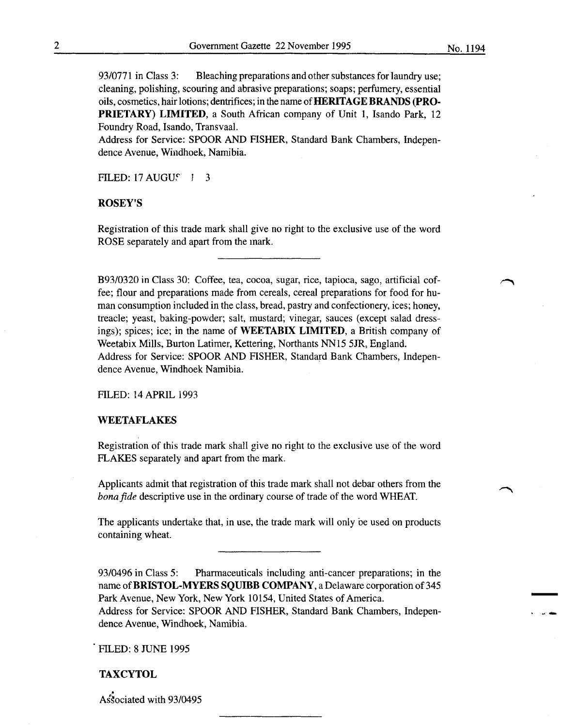93/0771 in Class 3: Bleaching preparations and other substances for laundry use; cleaning, polishing, scouring and abrasive preparations; soaps; perfumery, essential oils, cosmetics, hair lotions; dentrifices; in the name of **HERITAGE BRANDS** (PRO-PRIETARY) LIMITED, a South African company of Unit 1, Isando Park, 12 Foundry Road, Isando, Transvaal.

Address for Service: SPOOR AND FISHER, Standard Bank Chambers, Independence Avenue, Windhoek, Namibia.

FILED:  $17 \text{ AUGU}$   $1 \quad 3$ 

#### ROSEY'S

Registration of this trade mark shall give no right to the exclusive use of the word ROSE separately and apart from the mark.

B93/0320 in Class 30: Coffee, tea, cocoa, sugar, rice, tapioca, sago, artificial coffee; flour and preparations made from cereals, cereal preparations for food for human consumption included in the class, bread, pastry and confectionery, ices; honey, treacle; yeast, baking-powder; salt, mustard; vinegar, sauces (except salad dressings); spices; ice; in the name of WEETABIX LIMITED, a British company of Weetabix Mills, Burton Latimer, Kettering, Northants NN15 5JR, England. Address for Service: SPOOR AND FISHER, Standard Bank Chambers, Independence Avenue, Windhoek Namibia.

FILED: 14 APRIL 1993

#### WEETAFLAKES

Registration of this trade mark shall give no right to the exclusive use of the word FLAKES separately and apart from the mark.

Applicants admit that registration of this trade mark shall not debar others from the *bona fide* descriptive use in the ordinary course of trade of the word WHEAT.

The applicants undertake that, in use, the trade mark will only be used on products containing wheat.

93/0496 in Class 5: Pharmaceuticals including anti-cancer preparations; in the name of BRISTOL-MYERS SQUIBB COMPANY, a Delaware corporation of 345 Park Avenue, New York, New York 10154, United States of America. Address for Service: SPOOR AND FISHER, Standard Bank Chambers, Independence Avenue, Windhoek, Namibia.

FILED: 8 JUNE 1995

## **TAXCYTOL**

Associated with 93/0495

-

. ~-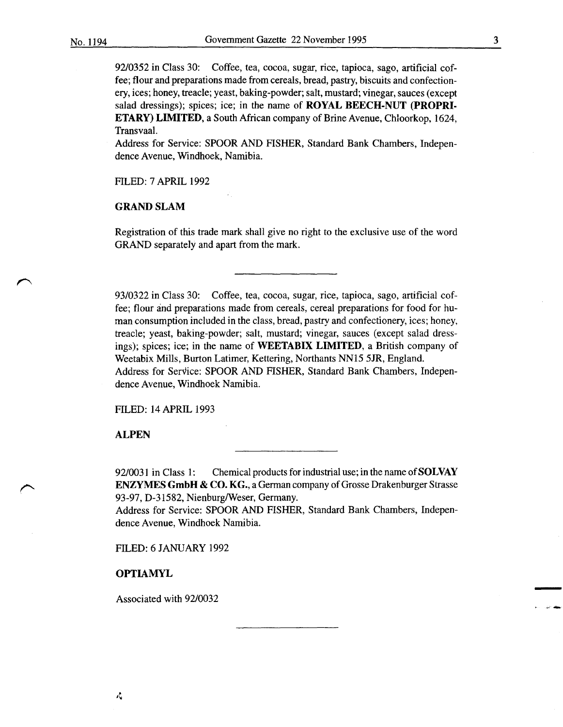3

-

92/0352 in Class 30: Coffee, tea, cocoa, sugar, rice, tapioca, sago, artificial coffee; flour and preparations made from cereals, bread, pastry, biscuits and confectionery, ices; honey, treacle; yeast, baking-powder; salt, mustard; vinegar, sauces (except salad dressings); spices; ice; in the name of ROYAL BEECH-NUT (PROPRI-ETARY) LIMITED, a South African company of Brine Avenue, Chloorkop, 1624, Transvaal.

Address for Service: SPOOR AND FISHER, Standard Bank Chambers, Independence Avenue, Windhoek, Namibia.

FILED: 7 APRIL 1992

## GRAND SLAM

Registration of this trade mark shall give no right to the exclusive use of the word GRAND separately and apart from the mark.

93/0322 in Class 30: Coffee, tea, cocoa, sugar, rice, tapioca, sago, artificial coffee; flour and preparations made from cereals, cereal preparations for food for human consumption included in the class, bread, pastry and confectionery, ices; honey, treacle; yeast, baking-powder; salt, mustard; vinegar, sauces (except salad dressings); spices; ice; in the name of WEETABIX LIMITED, a British company of Weetabix Mills, Burton Latimer, Kettering, Northants NN15 5JR, England. Address for Service: SPOOR AND FISHER, Standard Bank Chambers, Independence Avenue, Windhoek Namibia.

FILED: 14 APRIL 1993

**ALPEN** 

92/0031 in Class 1: Chemical products for industrial use; in the name of **SOLVAY** ENZYMES GmbH & CO. KG., a German company of Grosse Drakenburger Strasse 93-97, D-31582, Nienburg/Weser, Germany.

Address for Service: SPOOR AND FISHER, Standard Bank Chambers, Independence Avenue, Windhoek Namibia.

FILED: 6 JANUARY 1992

OPTIAMYL

Associated with 92/0032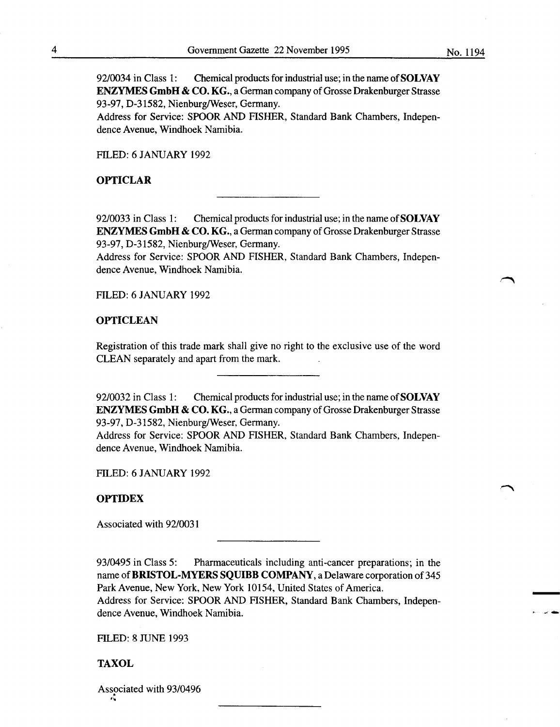92/0034 in Class 1: Chemical products for industrial use; in the name of **SOLVAY** ENZYMES GmbH & CO. KG., a German company of Grosse Drakenburger Strasse 93-97, D-31582, Nienburg/Weser, Germany.

Address for Service: SPOOR AND FISHER, Standard Bank Chambers, Independence Avenue, Windhoek Namibia.

FILED: 6 JANUARY 1992

#### OPTICLAR

92/0033 in Class 1: Chemical products for industrial use; in the name of **SOLVAY** ENZYMES GmbH & CO. KG., a German company of Grosse Drakenburger Strasse 93-97, D-31582, Nienburg/Weser, Germany.

Address for Service: SPOOR AND FISHER, Standard Bank Chambers, Independence Avenue, Windhoek Namibia.

FILED: 6 JANUARY 1992

## **OPTICLEAN**

Registration of this trade mark shall give no right to the exclusive use of the word CLEAN separately and apart from the mark.

92/0032 in Class 1: Chemical products for industrial use; in the name of **SOLVAY** ENZYMES GmbH & CO. KG., a German company of Grosse Drakenburger Strasse 93-97, D-31582, Nienburg/Weser, Germany.

Address for Service: SPOOR AND FISHER, Standard Bank Chambers, Independence Avenue, Windhoek Namibia.

FILED: 6 JANUARY 1992

#### **OPTIDEX**

Associated with 92/0031

93/0495 in Class 5: Pharmaceuticals including anti-cancer preparations; in the name of BRISTOL-MYERS SQUIBB COMPANY, a Delaware corporation of 345 Park Avenue, New York, New York 10154, United States of America. Address for Service: SPOOR AND FISHER, Standard Bank Chambers, Independence Avenue, Windhoek Namibia.

**FILED: 8 JUNE 1993** 

## TAXOL

Associated with 93/0496 . '"

-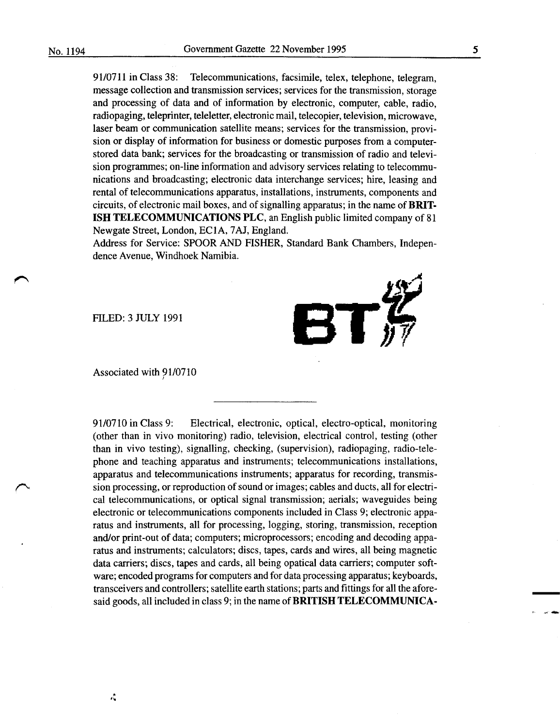91/0711 in Class 38: Telecommunications, facsimile, telex, telephone, telegram, message collection and transmission services; services for the transmission, storage and processing of data and of information by electronic, computer, cable, radio, radiopaging, teleprinter, teleletter, electronic mail, telecopier, television, microwave, laser beam or communication satellite means; services for the transmission, provision or display of information for business or domestic purposes from a computerstored data bank; services for the broadcasting or transmission of radio and television programmes; on-line information and advisory services relating to telecommunications and broadcasting; electronic data interchange services; hire, leasing and rental of telecommunications apparatus, installations, instruments, components and circuits, of electronic mail boxes, and of signalling apparatus; in the name of **BRIT-ISH TELECOMMUNICATIONS PLC,** an English public limited company of 81 Newgate Street, London, EC1A, 7AJ, England.

Address for Service: SPOOR AND FISHER, Standard Bank Chambers, Independence Avenue, Windhoek Namibia.





Associated with 91/0710

91/0710 in Class 9: Electrical, electronic, optical, electro-optical, monitoring (other than in vivo monitoring) radio, television, electrical control, testing (other than in vivo testing), signalling, checking, (supervision), radiopaging, radio-telephone and teaching apparatus and instruments; telecommunications installations, apparatus and telecommunications instruments; apparatus for recording, transmission processing, or reproduction of sound or images; cables and ducts, all for electrical telecommunications, or optical signal transmission; aerials; waveguides being electronic or telecommunications components included in Class 9; electronic apparatus and instruments, all for processing, logging, storing, transmission, reception and/or print-out of data; computers; microprocessors; encoding and decoding apparatus and instruments; calculators; discs, tapes, cards and wires, all being magnetic data carriers; discs, tapes and cards, all being opatical data carriers; computer software; encoded programs for computers and for data processing apparatus; keyboards, transceivers and controllers; satellite earth stations; parts and fittings for all the aforesaid goods, all included in class 9; in the name of **BRITISH TELECOMMUNICA-**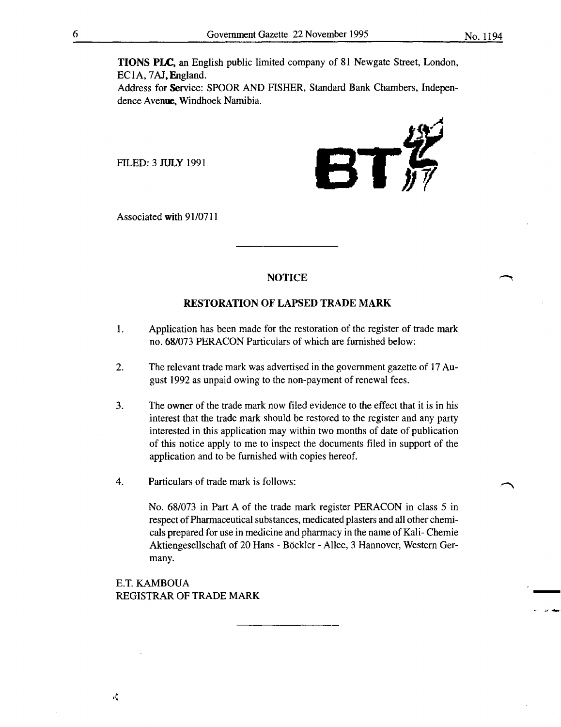-

TIONS PLC, an English public limited company of 81 Newgate Street, London, EC1A, 7AJ,England.

Address for Service: SPOOR AND FISHER, Standard Bank Chambers, Independence Avenue. Windhoek Namibia.

FILED: 3 JULY 1991



Associated with 91/0711

## NOTICE

#### RESTORATION OF LAPSED TRADE MARK

- 1. Application has been made for the restoration of the register of trade mark no. 68/073 PERACON Particulars of which are furnished below:
- 2. The relevant trade mark was advertised in the government gazette of 17 August 1992 as unpaid owing to the non-payment of renewal fees.
- 3. The owner of the trade mark now filed evidence to the effect that it is in his interest that the trade mark should be restored to the register and any party interested in this application may within two months of date of publication of this notice apply to me to inspect the documents filed in support of the application and to be furnished with copies hereof.
- 4. Particulars of trade mark is follows:

No. 68/073 in Part A of the trade mark register PERACON in class 5 in respect of Pharmaceutical substances, medicated plasters and all other chemicals prepared for use in medicine and pharmacy in the name of Kali- Chemie Aktiengesellschaft of 20 Hans - Böckler - Allee, 3 Hannover, Western Germany.

E.T. KAMBOUA REGISTRAR OF TRADE MARK

 $\mathbf{c}$  .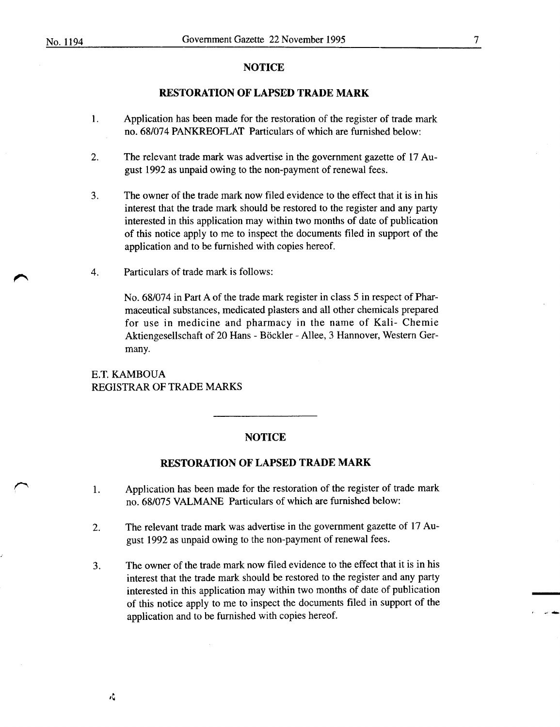#### **NOTICE**

## **RESTORATION OF LAPSED TRADE MARK**

- 1. Application has been made for the restoration of the register of trade mark no. 68/074 PANKREOFLAT Particulars of which are furnished below:
- 2. The relevant trade mark was advertise in the government gazette of 17 August 1992 as unpaid owing to the non-payment of renewal fees.
- 3. The owner of the trade mark now filed evidence to the effect that it is in his interest that the trade mark should be restored to the register and any party interested in this application may within two months of date of publication of this notice apply to me to inspect the documents filed in support of the application and to be furnished with copies hereof.
- 4. Particulars of trade mark is follows:

No. 68/074 in Part A of the trade mark register in class 5 in respect of Pharmaceutical substances, medicated plasters and all other chemicals prepared for use in medicine and pharmacy in the name of Kali- Chemie Aktiengesellschaft of 20 Hans - Böckler - Allee, 3 Hannover, Western Germany.

## E.T. KAMBOUA REGISTRAR OF TRADE MARKS

式

#### **NOTICE**

## **RESTORATION OF LAPSED TRADE MARK**

- 1. Application has been made for the restoration of the register of trade mark no. 68/075 VALMANE Particulars of which are furnished below:
- 2. The relevant trade mark was advertise in the government gazette of 17 August 1992 as unpaid owing to the non-payment of renewal fees.
- 3. The owner of the trade mark now filed evidence to the effect that it is in his interest that the trade mark should be restored to the register and any party interested in this application may within two months of date of publication of this notice apply to me to inspect the documents filed in support of the application and to be furnished with copies hereof.

. ~-